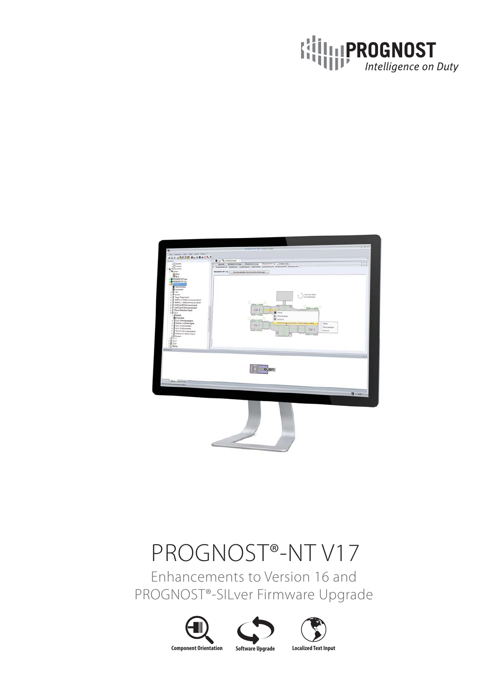



# PROGNOST®-NT V17

Enhancements to Version 16 and PROGNOST®-SILver Firmware Upgrade





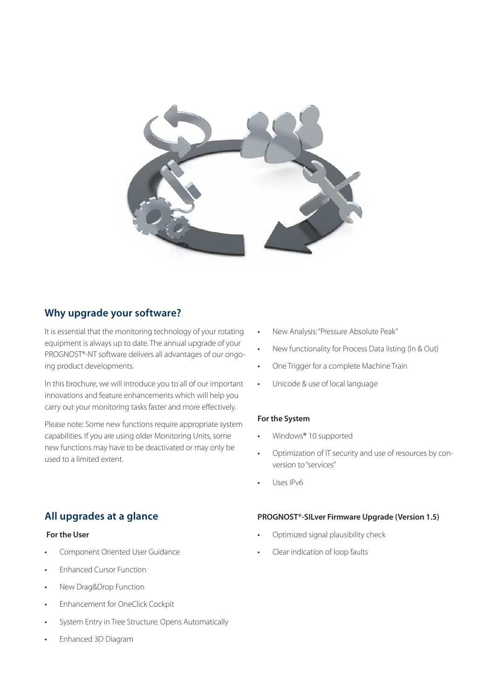

## **Why upgrade your software?**

It is essential that the monitoring technology of your rotating equipment is always up to date. The annual upgrade of your PROGNOST®-NT software delivers all advantages of our ongoing product developments.

In this brochure, we will introduce you to all of our important innovations and feature enhancements which will help you carry out your monitoring tasks faster and more effectively.

Please note: Some new functions require appropriate system capabilities. If you are using older Monitoring Units, some new functions may have to be deactivated or may only be used to a limited extent.

## **All upgrades at a glance**

#### **For the User**

- Component Oriented User Guidance
- **Enhanced Cursor Function**
- New Drag&Drop Function
- Enhancement for OneClick Cockpit
- System Entry in Tree Structure: Opens Automatically
- Enhanced 3D Diagram
- New Analysis: "Pressure Absolute Peak"
- New functionality for Process Data listing (In & Out)
- One Trigger for a complete Machine Train
- Unicode & use of local language

#### **For the System**

- Windows<sup>®</sup> 10 supported
- Optimization of IT security and use of resources by conversion to "services"
- t Uses IPv6

#### **PROGNOST®-SILver Firmware Upgrade (Version 1.5)**

- Optimized signal plausibility check
- Clear indication of loop faults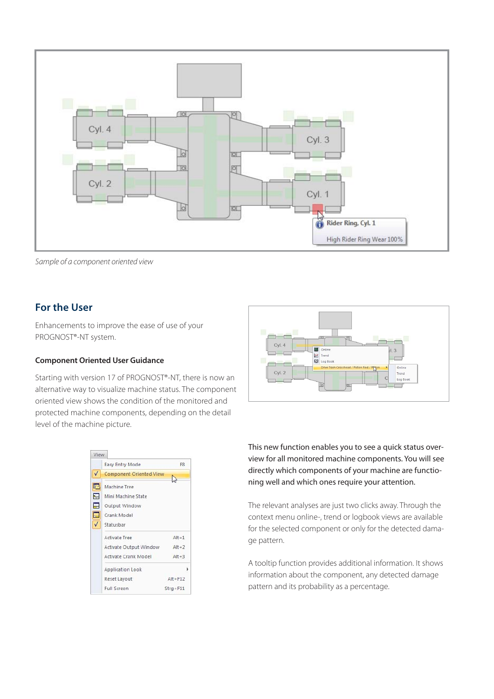

Sample of a component oriented view

## **For the User**

Enhancements to improve the ease of use of your PROGNOST®-NT system.

#### **Component Oriented User Guidance**

Starting with version 17 of PROGNOST®-NT, there is now an alternative way to visualize machine status. The component oriented view shows the condition of the monitored and protected machine components, depending on the detail level of the machine picture.





This new function enables you to see a quick status overview for all monitored machine components. You will see directly which components of your machine are functioning well and which ones require your attention.

The relevant analyses are just two clicks away. Through the context menu online-, trend or logbook views are available for the selected component or only for the detected damage pattern.

A tooltip function provides additional information. It shows information about the component, any detected damage pattern and its probability as a percentage.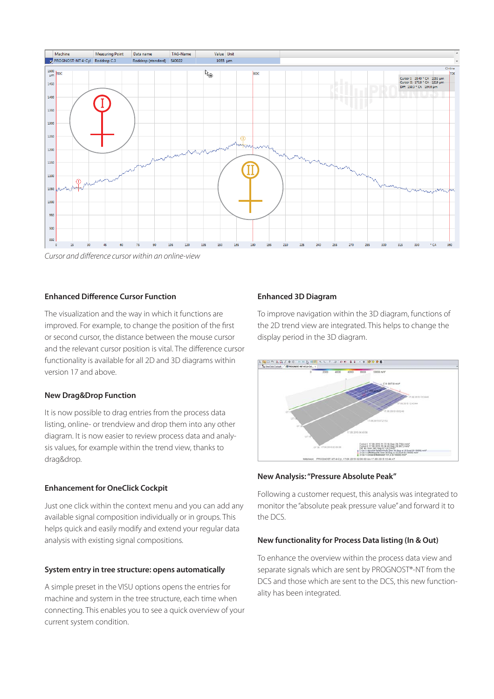

Cursor and difference cursor within an online-view

#### **Enhanced Difference Cursor Function**

The visualization and the way in which it functions are improved. For example, to change the position of the first or second cursor, the distance between the mouse cursor and the relevant cursor position is vital. The difference cursor functionality is available for all 2D and 3D diagrams within version 17 and above.

#### **New Drag&Drop Function**

It is now possible to drag entries from the process data listing, online- or trendview and drop them into any other diagram. It is now easier to review process data and analysis values, for example within the trend view, thanks to drag&drop.

#### **Enhancement for OneClick Cockpit**

Just one click within the context menu and you can add any available signal composition individually or in groups. This helps quick and easily modify and extend your regular data analysis with existing signal compositions.

#### **System entry in tree structure: opens automatically**

A simple preset in the VISU options opens the entries for machine and system in the tree structure, each time when connecting. This enables you to see a quick overview of your current system condition.

#### **Enhanced 3D Diagram**

To improve navigation within the 3D diagram, functions of the 2D trend view are integrated. This helps to change the display period in the 3D diagram.



#### **New Analysis: "Pressure Absolute Peak"**

Following a customer request, this analysis was integrated to monitor the "absolute peak pressure value" and forward it to the DCS.

#### **New functionality for Process Data listing (In & Out)**

To enhance the overview within the process data view and separate signals which are sent by PROGNOST®-NT from the DCS and those which are sent to the DCS, this new functionality has been integrated.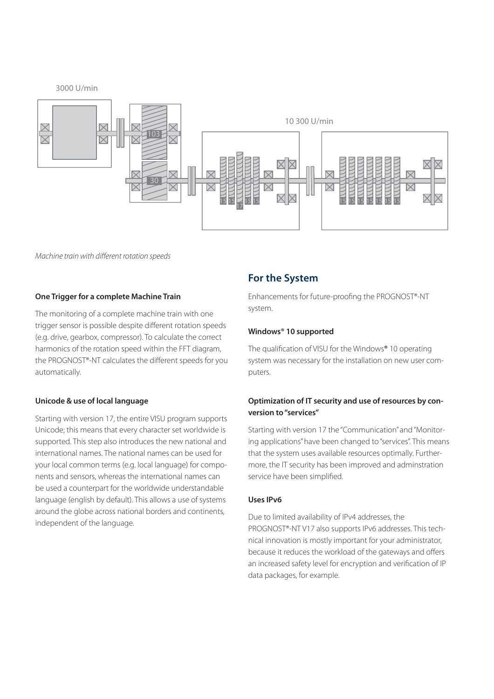#### 3000 U/min



Machine train with different rotation speeds

#### **One Trigger for a complete Machine Train**

The monitoring of a complete machine train with one trigger sensor is possible despite different rotation speeds (e.g. drive, gearbox, compressor). To calculate the correct harmonics of the rotation speed within the FFT diagram, the PROGNOST®-NT calculates the different speeds for you automatically.

#### **Unicode & use of local language**

Starting with version 17, the entire VISU program supports Unicode; this means that every character set worldwide is supported. This step also introduces the new national and international names. The national names can be used for your local common terms (e.g. local language) for components and sensors, whereas the international names can be used a counterpart for the worldwide understandable language (english by default). This allows a use of systems around the globe across national borders and continents, independent of the language.

## **For the System**

Enhancements for future-proofing the PROGNOST®-NT system.

#### **Windows® 10 supported**

The qualification of VISU for the Windows**®** 10 operating system was necessary for the installation on new user computers.

### **Optimization of IT security and use of resources by conversion to "services"**

Starting with version 17 the "Communication" and "Monitoring applications" have been changed to "services". This means that the system uses available resources optimally. Furthermore, the IT security has been improved and adminstration service have been simplified.

#### **Uses IPv6**

Due to limited availability of IPv4 addresses, the PROGNOST®-NT V17 also supports IPv6 addresses. This technical innovation is mostly important for your administrator, because it reduces the workload of the gateways and offers an increased safety level for encryption and verification of IP data packages, for example.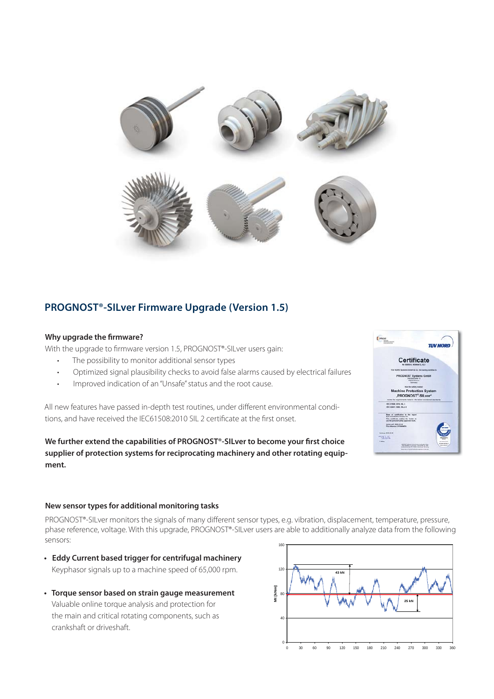

# **PROGNOST®-SILver Firmware Upgrade (Version 1.5)**

#### **Why upgrade the firmware?**

With the upgrade to firmware version 1.5, PROGNOST®-SILver users gain:

- The possibility to monitor additional sensor types
- Optimized signal plausibility checks to avoid false alarms caused by electrical failures
- Improved indication of an "Unsafe" status and the root cause.

All new features have passed in-depth test routines, under different environmental conditions, and have received the IEC61508:2010 SIL 2 certificate at the first onset.

**We further extend the capabilities of PROGNOST®-SILver to become your first choice supplier of protection systems for reciprocating machinery and other rotating equipment.** 



#### **New sensor types for additional monitoring tasks**

PROGNOST®-SILver monitors the signals of many different sensor types, e.g. vibration, displacement, temperature, pressure, phase reference, voltage. With this upgrade, PROGNOST®-SILver users are able to additionally analyze data from the following sensors:

- **t Eddy Current based trigger for centrifugal machinery** Keyphasor signals up to a machine speed of 65,000 rpm.
- **t Torque sensor based on strain gauge measurement**  Valuable online torque analysis and protection for the main and critical rotating components, such as crankshaft or driveshaft.

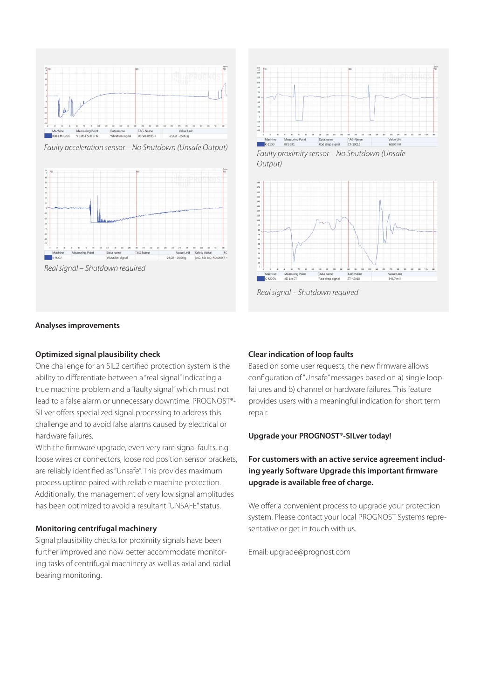

Faulty acceleration sensor – No Shutdown (Unsafe Output) Faulty proximinity sensor – No Shutdown (Unsafe



Real signal – Shutdown required



Output)



Real signal – Shutdown required

#### **Analyses improvements**

#### **Optimized signal plausibility check**

One challenge for an SIL2 certified protection system is the ability to differentiate between a "real signal" indicating a true machine problem and a "faulty signal" which must not lead to a false alarm or unnecessary downtime. PROGNOST®- SILver offers specialized signal processing to address this challenge and to avoid false alarms caused by electrical or hardware failures.

With the firmware upgrade, even very rare signal faults, e.g. loose wires or connectors, loose rod position sensor brackets, are reliably identified as "Unsafe". This provides maximum process uptime paired with reliable machine protection. Additionally, the management of very low signal amplitudes has been optimized to avoid a resultant "UNSAFE" status.

#### **Monitoring centrifugal machinery**

Signal plausibility checks for proximity signals have been further improved and now better accommodate monitoring tasks of centrifugal machinery as well as axial and radial bearing monitoring.

#### **Clear indication of loop faults**

Based on some user requests, the new firmware allows configuration of "Unsafe" messages based on a) single loop failures and b) channel or hardware failures. This feature provides users with a meaningful indication for short term repair.

**Upgrade your PROGNOST®-SILver today!**

## **For customers with an active service agreement including yearly Software Upgrade this important firmware upgrade is available free of charge.**

We offer a convenient process to upgrade your protection system. Please contact your local PROGNOST Systems representative or get in touch with us.

Email: upgrade@prognost.com